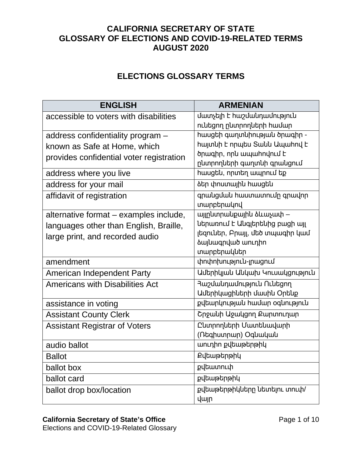### **CALIFORNIA SECRETARY OF STATE GLOSSARY OF ELECTIONS AND COVID-19-RELATED TERMS AUGUST 2020**

### **ELECTIONS GLOSSARY TERMS**

| <b>ENGLISH</b>                           | <b>ARMENIAN</b>                               |
|------------------------------------------|-----------------------------------------------|
| accessible to voters with disabilities   | մատչելի է hաշմանդամություն                    |
|                                          | ունեցող ընտրողների համար                      |
| address confidentiality program -        | hասցեի գաղտնիության ծրագիր -                  |
| known as Safe at Home, which             | hայտնի է որպես Sանն Ապաhnվ է                  |
| provides confidential voter registration | ծրագիր, որև ապաիովում է                       |
|                                          | ընտրողների գաղտնի գրանցում                    |
| address where you live                   | hասցեն, որտեղ ապրում եք                       |
| address for your mail                    | ծեր փոստային հասցեն                           |
| affidavit of registration                | գրանցման հաստատումը գրավոր                    |
|                                          | տարբերակով                                    |
| alternative format - examples include,   | այլընտրանքային ձևաչափ –                       |
| languages other than English, Braille,   | ներառում է Անգլերենից բացի այլ                |
| large print, and recorded audio          | լեզուներ, Բրայլ, մեծ տպագիր կամ               |
|                                          | <b><i><u><b>aujuwqnվwo</b></u></i> wnւդիո</b> |
|                                          | տարբերակներ                                   |
| amendment                                | փոփոխություն-լրացում                          |
| <b>American Independent Party</b>        | Ամերիկյան Անկախ Կուսակցություն                |
| <b>Americans with Disabilities Act</b>   | Rupululupuulnupinul Nultann                   |
|                                          | Ամերիկացիների մասին Օրենք                     |
| assistance in voting                     | քվեարկության hամար oգնություն                 |
| <b>Assistant County Clerk</b>            | Cnowuh Uowugnn Pwnununun                      |
| <b>Assistant Registrar of Voters</b>     | Ընտրողների Մատենավարի                         |
|                                          | (Ոեգիստրար) Օգնական                           |
| audio ballot                             | աուդիո քվեաթերթիկ                             |
| <b>Ballot</b>                            | <b>Քվեաթերթիկ</b>                             |
| ballot box                               | քվեատուփ                                      |
| ballot card                              | քվեաթերթիկ                                    |
| ballot drop box/location                 | քվեաթերթիկները նետելու տուփ/                  |
|                                          | <b>y</b> uln                                  |

#### **California Secretary of State's Office** Page 1 of 10

Elections and COVID-19-Related Glossary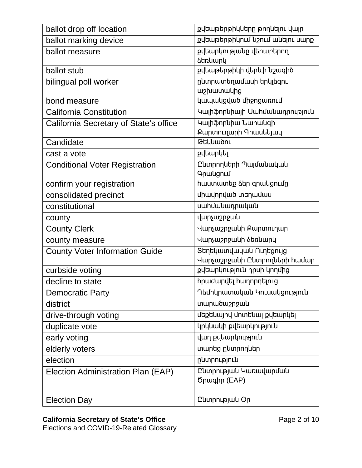| ballot drop off location               | քվեաթերթիկները թողնելու վայր         |
|----------------------------------------|--------------------------------------|
| ballot marking device                  | քվեաթերթիկում նշում անելու սարք      |
| ballot measure                         | քվեարկությանը վերաբերող              |
|                                        | <b><i><u><b>atnumunu</b></u></i></b> |
| ballot stub                            | քվեաթերթիկի վերևի նշագիծ             |
| bilingual poll worker                  | ընտրատեղամասի երկլեզու               |
|                                        | w <sub>2</sub> huun wu               |
| bond measure                           | կապակցված միջոցառում                 |
| <b>California Constitution</b>         | Կալիֆորևիայի Սահմանադրություն        |
| California Secretary of State's office | Կալիֆորևիա Նահանգի                   |
|                                        | Քարտուղարի Գրասենյակ                 |
| Candidate                              | <b>GuyumonL</b>                      |
| cast a vote                            | քվեարկել                             |
| <b>Conditional Voter Registration</b>  | Cumpnnutph Պայմանական                |
|                                        | <b>9</b> pwlgnLu                     |
| confirm your registration              | hաստատեք ձեր գրանցումը               |
| consolidated precinct                  | միավորված տեղամաս                    |
| constitutional                         | uwhuwumpwywu                         |
| county                                 | վարչաշրջան                           |
| <b>County Clerk</b>                    | Վարչաշրջանի Քարտուղար                |
| county measure                         | Վարչաշրջանի ձեռնարկ                  |
| <b>County Voter Information Guide</b>  | Տեղեկատվական Ուղեցույց               |
|                                        | Վարչաշրջանի Ընտրողների համար         |
| curbside voting                        | քվեարկություն դրսի կողմից            |
| decline to state                       | <b>hրաժարվել hաղորդելուց</b>         |
| <b>Democratic Party</b>                | Դեմոկրատական Կուսակցություն          |
| district                               | տարածաշրջան                          |
| drive-through voting                   | մեքենայով մոտենալ քվեարկել           |
| duplicate vote                         | կրկնակի քվեարկություն                |
| early voting                           | վաղ քվեարկություն                    |
| elderly voters                         | տարեց ընտրողներ                      |
| election                               | ընտրություն                          |
| Election Administration Plan (EAP)     | Ընտրության Կառավարման                |
|                                        | Ծրագիր (EAP)                         |
|                                        |                                      |
| <b>Election Day</b>                    | CumpnLpjwu Op                        |

### **California Secretary of State's Office** Page 2 of 10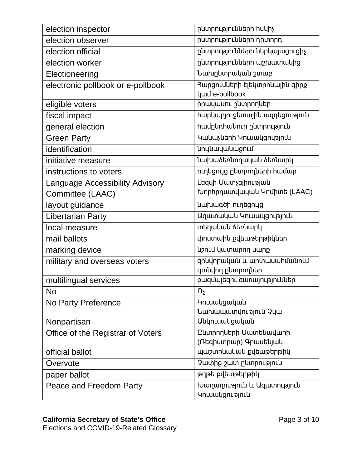| election inspector                     | ընտրությունների huկիչ                               |
|----------------------------------------|-----------------------------------------------------|
| election observer                      | ընտրությունների դիտորդ                              |
| election official                      | ընտրությունների ներկայացուցիչ                       |
| election worker                        | ընտրությունների աշխատակից                           |
| Electioneering                         | Նախընտրական շտաբ                                    |
| electronic pollbook or e-pollbook      | Յարցումների էլեկտրոնային գիրք                       |
|                                        | <b>yuul</b> e-pollbook                              |
| eligible voters                        | իրավասու ընտրողներ                                  |
| fiscal impact                          | hարկաբյուջետային ազդեցություն                       |
| general election                       | <b>h</b> ամընդհանուր ընտրություն                    |
| <b>Green Party</b>                     | Կանաչների Կուսակցություն                            |
| identification                         | <b>unyluuluuduugnul</b>                             |
| initiative measure                     | նախաձեռնողական ձեռնարկ                              |
| instructions to voters                 | ուղեցույց ընտրողների համար                          |
| <b>Language Accessibility Advisory</b> | Lեզվի Մատչելիության                                 |
| Committee (LAAC)                       | Խորհրդատվական Կոմիտե (LAAC)                         |
| layout guidance                        | uwuwqoh nuntgnug                                    |
| <b>Libertarian Party</b>               | Uquunwuuul unluwugnlanlu                            |
| local measure                          | տեղական ծեռնարկ                                     |
| mail ballots                           | փոստաին քվեաթերթիկներ                               |
| marking device                         | նշում կատարող սարք                                  |
| military and overseas voters           | զինվորական և արտասահմանում<br>գտևվող ըևտրողներ      |
| multilingual services                  | բազմալեզու ծառայություններ                          |
| <b>No</b>                              | $\mathsf{U}^\mathsf{F}$                             |
| No Party Preference                    | <b>unLuwugwuywu</b>                                 |
|                                        | Նախապատվություն Չկա                                 |
| Nonpartisan                            | <b><i><u>Uulnuuulguuluuu</u></i></b>                |
| Office of the Registrar of Voters      | Ընտրողների Մատենավարի                               |
|                                        | (Ռեգիստրար) Գրասենյակ                               |
| official ballot                        | պաշտոնական քվեաթերթիկ                               |
| Overvote                               | Չափից շատ ընտրություն                               |
| paper ballot                           | թղթե քվեաթերթիկ                                     |
| Peace and Freedom Party                | խաղաղություն և Ազատություն<br><b>unLuwlgnLpinLl</b> |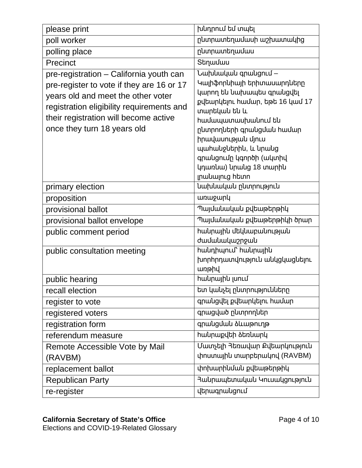| please print                                                                                                                                                                                                                                    | խնդրում եմ տպել                                                                                                                                                                                                                                                                                                              |
|-------------------------------------------------------------------------------------------------------------------------------------------------------------------------------------------------------------------------------------------------|------------------------------------------------------------------------------------------------------------------------------------------------------------------------------------------------------------------------------------------------------------------------------------------------------------------------------|
| poll worker                                                                                                                                                                                                                                     | ընտրատեղամասի աշխատակից                                                                                                                                                                                                                                                                                                      |
| polling place                                                                                                                                                                                                                                   | ընտրատեղամաս                                                                                                                                                                                                                                                                                                                 |
| Precinct                                                                                                                                                                                                                                        | Stnuuuu                                                                                                                                                                                                                                                                                                                      |
| pre-registration - California youth can<br>pre-register to vote if they are 16 or 17<br>years old and meet the other voter<br>registration eligibility requirements and<br>their registration will become active<br>once they turn 18 years old | <b><i><u>Uwpuwywu</u></i></b> qpwlgnuu<br>Կալիֆորևիայի երիտասարդները<br>կարող են նախապես գրանցվել<br>քվեարկելու համար, եթե 16 կամ 17<br>տարեկան են և<br>hամապատասխանում են<br>ընտրողների գրանցման համար<br>իրավասության մյուս<br>պաhաupuերիu, և upաug<br>գրանցումը կգործի (ակտիվ<br>կդառնա) նրանց 18 տարին<br>լրակալուց hետn |
| primary election                                                                                                                                                                                                                                | նախնական ընտրություն                                                                                                                                                                                                                                                                                                         |
| proposition                                                                                                                                                                                                                                     | <b>unupuny</b>                                                                                                                                                                                                                                                                                                               |
| provisional ballot                                                                                                                                                                                                                              | Պայմանական քվեաթերթիկ                                                                                                                                                                                                                                                                                                        |
| provisional ballot envelope                                                                                                                                                                                                                     | Պայմանական քվեաթերթիկի ծրար                                                                                                                                                                                                                                                                                                  |
| public comment period                                                                                                                                                                                                                           | hակրային մեկնաբանության<br>ժամանակաշրջան                                                                                                                                                                                                                                                                                     |
| public consultation meeting                                                                                                                                                                                                                     | <b>h</b> անդիպում` hանրային<br>խորհրդատվություն անկցկացնելու<br>unphy                                                                                                                                                                                                                                                        |
| public hearing                                                                                                                                                                                                                                  | hwunwjhu junLu                                                                                                                                                                                                                                                                                                               |
| recall election                                                                                                                                                                                                                                 | ետ կանչել ընտրությունները                                                                                                                                                                                                                                                                                                    |
| register to vote                                                                                                                                                                                                                                | գրանցվել քվեարկելու համար                                                                                                                                                                                                                                                                                                    |
| registered voters                                                                                                                                                                                                                               | գրացված ընտրողներ                                                                                                                                                                                                                                                                                                            |
| registration form                                                                                                                                                                                                                               | գրանցման ծևաթուղթ                                                                                                                                                                                                                                                                                                            |
| referendum measure                                                                                                                                                                                                                              | <b>hա</b> կրաքվեի ձեռնարկ                                                                                                                                                                                                                                                                                                    |
| Remote Accessible Vote by Mail<br>(RAVBM)                                                                                                                                                                                                       | Մատչելի Յեռավար Քվեարկություն<br>փոստային տարբերակով (RAVBM)                                                                                                                                                                                                                                                                 |
| replacement ballot                                                                                                                                                                                                                              | փոխարինման քվեաթերթիկ                                                                                                                                                                                                                                                                                                        |
| <b>Republican Party</b>                                                                                                                                                                                                                         | Յանրապետական Կուսակցություն                                                                                                                                                                                                                                                                                                  |
| re-register                                                                                                                                                                                                                                     | վերագրանցում                                                                                                                                                                                                                                                                                                                 |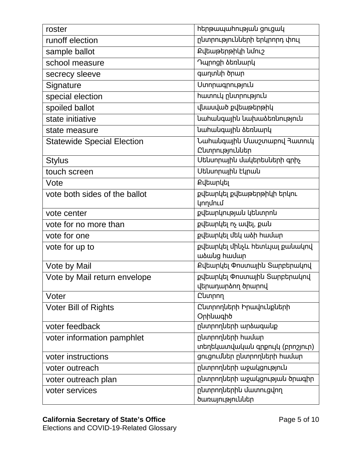| roster                            | htmpwwwhnLpjwu gnLgwy                               |
|-----------------------------------|-----------------------------------------------------|
| runoff election                   | ընտրությունների երկրորդ փուլ                        |
| sample ballot                     | <b>Քվեաթերթիկի ևմուշ</b>                            |
| school measure                    | Դպրոցի ձեռևարկ                                      |
| secrecy sleeve                    | գաղտնի ծրար                                         |
| Signature                         | <b>U</b> unnuuqnnuajnuu                             |
| special election                  | hwwnLy ընտրություն                                  |
| spoiled ballot                    | վնասված քվեաթերթիկ                                  |
| state initiative                  | նահանգային նախաձեռնություն                          |
| state measure                     | նահանգային ձեռնարկ                                  |
| <b>Statewide Special Election</b> | Նաիանգային Մասշտաբով Յատուկ                         |
|                                   | Ընտրություններ                                      |
| <b>Stylus</b>                     | Utunnային մակերեսների գրիչ                          |
| touch screen                      | Utuunpwjhu Lynwu                                    |
| Vote                              | <b>Քվեարկել</b>                                     |
| vote both sides of the ballot     | քվեարկել քվեաթերթիկի երկու                          |
|                                   | <b>ynnunLu</b>                                      |
| vote center                       | քվեարկության կենտրոն                                |
| vote for no more than             | քվեարկել ոչ ավել, քան                               |
| vote for one                      | քվեարկել մեկ ածի համար                              |
| vote for up to                    | քվեարկել մինչև հետևյալ քանակով                      |
|                                   | wawlg hwuup                                         |
| Vote by Mail                      | Քվեարկել Փոստային Տարբերակով                        |
| Vote by Mail return envelope      | քվեարկել Փոստային Տարբերակով                        |
|                                   | վերադարձող ծրարով                                   |
| Voter                             | <b>Cumpnn</b>                                       |
| <b>Voter Bill of Rights</b>       | Ընտրողների Իրավունքների                             |
|                                   | Onhuwqho                                            |
| voter feedback                    | ընտրողների արձագանք                                 |
| voter information pamphlet        | ընտրողների համար<br>տեղեկատվական գրքույկ (բրոշյուր) |
| voter instructions                | ցուցումներ ընտրողների համար                         |
|                                   | ընտրողների աջակցություն                             |
| voter outreach                    |                                                     |
| voter outreach plan               | ընտրողների աջակցության ծրագիր                       |
| voter services                    | րևտրողևերիև մատուցվող<br>ծառայություններ            |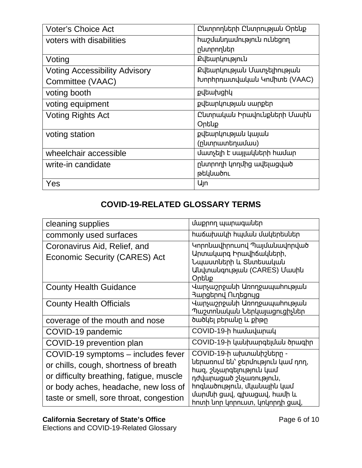| <b>Voter's Choice Act</b>            | Ը կտրող ների Ը կտրության Օրենք    |
|--------------------------------------|-----------------------------------|
| voters with disabilities             | hwelulnuulnupinlu nuutgnn         |
|                                      | ընտրողներ                         |
| Voting                               | <b>Քվեարկություն</b>              |
| <b>Voting Accessibility Advisory</b> | <b>Քվեարկության Մատչելիության</b> |
| Committee (VAAC)                     | խորիրդատվական Կոմիտե (VAAC)       |
| voting booth                         | քվեախցիկ                          |
| voting equipment                     | քվեարկության սարքեր               |
| <b>Voting Rights Act</b>             | Ընտրական Իրավունքների Մասին       |
|                                      | Ontup                             |
| voting station                       | քվեարկության կայան                |
|                                      | (րևտրատեղամաս)                    |
| wheelchair accessible                | մատչելի է սալյակների hամար        |
| write-in candidate                   | ընտրողի կողմից ավելացված          |
|                                      | թեկնածու                          |
| Yes                                  | U <sub>In</sub>                   |

## **COVID-19-RELATED GLOSSARY TERMS**

| cleaning supplies                                                                                                                                                                                          | մաքրող պարագաներ                                                                                                                                                                                                     |
|------------------------------------------------------------------------------------------------------------------------------------------------------------------------------------------------------------|----------------------------------------------------------------------------------------------------------------------------------------------------------------------------------------------------------------------|
| commonly used surfaces                                                                                                                                                                                     | հաճախակի հպման մակերեսներ                                                                                                                                                                                            |
| Coronavirus Aid, Relief, and<br>Economic Security (CARES) Act                                                                                                                                              | Կորոնավիրուսով Պայմանավորված<br>Արտակարգ Իրավիճակների,<br>Նպաստների և Տնտեսական<br>Uuuuuuuuuuuuuu (CARES) Uwuhu<br>Ontiup                                                                                            |
| <b>County Health Guidance</b>                                                                                                                                                                              | Վարչաշրջանի Առողջապահության<br>Յարցերով Ուղեցույց                                                                                                                                                                    |
| <b>County Health Officials</b>                                                                                                                                                                             | Վարչաշրջանի Առողջապահության<br>Պաշտոնական Ներկայացուցիչներ                                                                                                                                                           |
| coverage of the mouth and nose                                                                                                                                                                             | ծածկել բերանը և քիթը                                                                                                                                                                                                 |
| COVID-19 pandemic                                                                                                                                                                                          | COVID-19-h hwuuuunwu                                                                                                                                                                                                 |
| COVID-19 prevention plan                                                                                                                                                                                   | COVID-19-ի կանխարգելման ծրագիր                                                                                                                                                                                       |
| COVID-19 symptoms - includes fever<br>or chills, cough, shortness of breath<br>or difficulty breathing, fatigue, muscle<br>or body aches, headache, new loss of<br>taste or smell, sore throat, congestion | COVID-19-ի ախտանիշները -<br>ներառում են՝ ջերմություն կամ դող,<br>hազ, շևչարգելություն կամ<br>դժվարացած շևչառություն,<br>hnquածnւթյուն, մկանային կամ<br>մարմնի ցավ, գլխացավ, համի և<br>իոտի նոր կորուստ, կոկորդի ցավ, |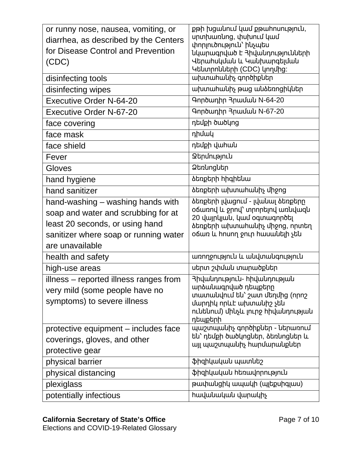| or runny nose, nausea, vomiting, or<br>diarrhea, as described by the Centers<br>for Disease Control and Prevention<br>(CDC)<br>disinfecting tools<br>disinfecting wipes<br><b>Executive Order N-64-20</b> | քթի խցանում կամ քթահոսություն,<br>ununuunung, փսխում կամ<br>փորլուծություն՝ ինչպես<br>նկարագրված է <b>Յիվանդությունների</b><br>Վերահսկման և Կանխարգելման<br>Կենտրոնների (CDC) կողմից։<br>ախտահանիչ գործիքներ<br>ախտահանիչ թաց անձեռոցիկներ<br>Գործադիր <i><b>Դրամա</b>և</i> N-64-20 |
|-----------------------------------------------------------------------------------------------------------------------------------------------------------------------------------------------------------|-------------------------------------------------------------------------------------------------------------------------------------------------------------------------------------------------------------------------------------------------------------------------------------|
| Executive Order N-67-20                                                                                                                                                                                   | Գործադիր <i><b>Դրամա</b>և</i> N-67-20                                                                                                                                                                                                                                               |
| face covering                                                                                                                                                                                             | դեմքի ծածկոց                                                                                                                                                                                                                                                                        |
| face mask                                                                                                                                                                                                 | դիմակ                                                                                                                                                                                                                                                                               |
| face shield                                                                                                                                                                                               | դեմքի վահան                                                                                                                                                                                                                                                                         |
| Fever                                                                                                                                                                                                     | <b><i><u>Qupunuajnuu</u></i></b>                                                                                                                                                                                                                                                    |
| Gloves                                                                                                                                                                                                    | <b>2tnungutn</b>                                                                                                                                                                                                                                                                    |
| hand hygiene                                                                                                                                                                                              | <b><i><u><b>atnptnh hhqhtluu</b></u></i></b>                                                                                                                                                                                                                                        |
| hand sanitizer                                                                                                                                                                                            | <b><i><u><b>atingtinh ախտահա</b>նիչ</u> միջոց</i></b>                                                                                                                                                                                                                               |
| hand-washing – washing hands with<br>soap and water and scrubbing for at<br>least 20 seconds, or using hand<br>sanitizer where soap or running water<br>are unavailable                                   | ծեռքերի լվացում - լվանալ ծեռքերը<br>oճառով և ջրով` տրորելով առևվազև<br>20 վայրկյան, կամ օգտագործել<br>ձեռքերի ախտահանիչ միջոց, որտեղ<br>oճառ և hnunn ջուր hասանելի չեն                                                                                                              |
| health and safety                                                                                                                                                                                         | առողջություն և անվտանգություն                                                                                                                                                                                                                                                       |
| high-use areas                                                                                                                                                                                            | սերտ շփման տարածքներ                                                                                                                                                                                                                                                                |
| illness – reported illness ranges from<br>very mild (some people have no<br>symptoms) to severe illness                                                                                                   | <b>3իվանդություն- hիվանդության</b><br>արձաևագրված դեպքերը<br>տատանվում են՝ շատ մեղմից (որոշ<br>մարդիկ որևէ ախտանիշ չեն<br>ունենում) մինչև լուրջ հիվանդության<br>դեպքերի                                                                                                             |
| protective equipment – includes face<br>coverings, gloves, and other<br>protective gear                                                                                                                   | պաշտպանիչ գործիքներ - ներառում<br>են՝ դեմքի ծածկոցներ, ձեռնոցներ և<br>այլ պաշտպանիչ hարմարանքներ                                                                                                                                                                                    |
| physical barrier                                                                                                                                                                                          | ֆիզիկական պատնեշ                                                                                                                                                                                                                                                                    |
| physical distancing                                                                                                                                                                                       | ֆիզիկական հեռավորություն                                                                                                                                                                                                                                                            |
| plexiglass                                                                                                                                                                                                | թափանցիկ ապակի (պլեքսիգլաս)                                                                                                                                                                                                                                                         |
| potentially infectious                                                                                                                                                                                    | hավանական վարակիչ                                                                                                                                                                                                                                                                   |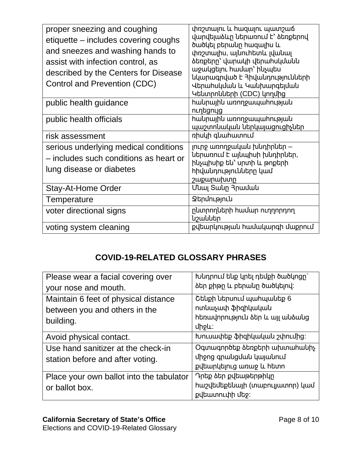| proper sneezing and coughing<br>etiquette – includes covering coughs<br>and sneezes and washing hands to<br>assist with infection control, as<br>described by the Centers for Disease<br>Control and Prevention (CDC) | փռշտալու և hազալու պատշաճ<br>վարվելաձևը ներառում է` ձեռքերով<br>ծածկել բերաևը հազալիս և<br>փռշտալիս, այնուիետև լվանալ<br><b><i><u>ծեռքերը` վարակի վերահսկմանն</u></i></b><br>աջակցելու hամար` ինչպես<br>նկարագրված է <b>3իվանդությունների</b><br>Վերահսկման և Կանխարգելման<br>Կենտրոնների (CDC) կողմից |
|-----------------------------------------------------------------------------------------------------------------------------------------------------------------------------------------------------------------------|--------------------------------------------------------------------------------------------------------------------------------------------------------------------------------------------------------------------------------------------------------------------------------------------------------|
| public health guidance                                                                                                                                                                                                | hակրային առողջապաիության<br>ուղեցույց                                                                                                                                                                                                                                                                  |
| public health officials                                                                                                                                                                                               | hակրային առողջապաhության<br>պաշտոնական ներկայացուցիչներ                                                                                                                                                                                                                                                |
| risk assessment                                                                                                                                                                                                       | nhuuh quuhwunnLu                                                                                                                                                                                                                                                                                       |
| serious underlying medical conditions<br>- includes such conditions as heart or<br>lung disease or diabetes<br>Stay-At-Home Order                                                                                     | լուրջ առողջական խնդիրներ –<br>ներառում է այնպիսի խնդիրներ,<br>ինչպիսիք են՝ սրտի և թոքերի<br><b>h</b> իվանդությունները կամ<br>շաքարախտը<br>Մնալ Տանը Յրաման                                                                                                                                             |
| Temperature                                                                                                                                                                                                           | <b>Ձերմություն</b>                                                                                                                                                                                                                                                                                     |
| voter directional signs                                                                                                                                                                                               | ընտրողների համար ուղղորդող<br><b>կշաններ</b>                                                                                                                                                                                                                                                           |
| voting system cleaning                                                                                                                                                                                                | քվեարկության համակարգի մաքրում                                                                                                                                                                                                                                                                         |

# **COVID-19-RELATED GLOSSARY PHRASES**

| Please wear a facial covering over       | խնդրում ենք կրել դեմքի ծածկոցը` |
|------------------------------------------|---------------------------------|
| your nose and mouth.                     | ձեր քիթը և բերաևը ծածկելով։     |
| Maintain 6 feet of physical distance     | Շենքի ներսում պահպանեք 6        |
| between you and others in the            | ոտևաչափ ֆիզիկական               |
| building.                                | hեռավորություն ձեր և այլ անձանց |
|                                          | unsu:                           |
| Avoid physical contact.                  | խուսափեք ֆիզիկական շփումից:     |
| Use hand sanitizer at the check-in       | Oqunuqnnotp atnptnh upunuhuuhy  |
| station before and after voting.         | ungng qnwuguwu ywywunuu         |
|                                          | քվեարկելուց առաջ և hետո         |
| Place your own ballot into the tabulator | Դրեք ձեր քվեաթերթիկը            |
| or ballot box.                           | hw2վեմեքենայի (տաբուլյատոր) կամ |
|                                          | քվեատուփի մեջ։                  |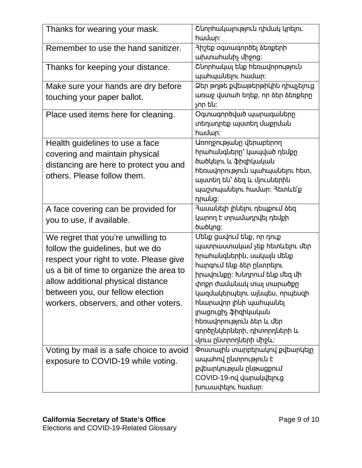| Thanks for wearing your mask.                                                                                                                                                                                                                                                                                                                                      | Շևորհակալություն դիմակ կրելու<br>hwuun:                                                                                                                                                                                                                                                                                                                                                                                                  |
|--------------------------------------------------------------------------------------------------------------------------------------------------------------------------------------------------------------------------------------------------------------------------------------------------------------------------------------------------------------------|------------------------------------------------------------------------------------------------------------------------------------------------------------------------------------------------------------------------------------------------------------------------------------------------------------------------------------------------------------------------------------------------------------------------------------------|
| Remember to use the hand sanitizer.                                                                                                                                                                                                                                                                                                                                | <b>3իշեք օգտագործել ձեռքերի</b><br>ախտահանիչ միջոց:                                                                                                                                                                                                                                                                                                                                                                                      |
| Thanks for keeping your distance.                                                                                                                                                                                                                                                                                                                                  | Շևորհակալ ենք հեռավորություն<br>պահպանելու համար:                                                                                                                                                                                                                                                                                                                                                                                        |
| Make sure your hands are dry before<br>touching your paper ballot.                                                                                                                                                                                                                                                                                                 | Ձեր թղթե քվեաթերթիկին դիպչելուց<br>առաջ վստահ եղեք, որ ձեր ձեռքերը<br>չոր են։                                                                                                                                                                                                                                                                                                                                                            |
| Place used items here for cleaning.                                                                                                                                                                                                                                                                                                                                | Oqunuqnnouub wunuquuutnn<br>տեղադրեք այստեղ մաքրման<br>hwuun:                                                                                                                                                                                                                                                                                                                                                                            |
| Health guidelines to use a face<br>covering and maintain physical<br>distancing are here to protect you and<br>others. Please follow them.                                                                                                                                                                                                                         | Առողջությանը վերաբերող<br>hրաhաևգևերը` կապված դեմքը<br>ծածկելու և ֆիզիկական<br>հեռավորություն պահպանելու հետ,<br>այստեղ են` ձեզ և մյուսներին<br>պաշտպանելու համար։ Յետևե՛ք<br>nnwlig:                                                                                                                                                                                                                                                    |
| A face covering can be provided for<br>you to use, if available.                                                                                                                                                                                                                                                                                                   | Յասանելի լինելու դեպքում ձեզ<br>կարող է տրամադրվել դեմքի<br><i><b>δωδ</b>lng:</i>                                                                                                                                                                                                                                                                                                                                                        |
| We regret that you're unwilling to<br>follow the guidelines, but we do<br>respect your right to vote. Please give<br>us a bit of time to organize the area to<br>allow additional physical distance<br>between you, our fellow election<br>workers, observers, and other voters.<br>Voting by mail is a safe choice to avoid<br>exposure to COVID-19 while voting. | Մենք ցավում ենք, որ դուք<br>պատրաստակամ չեք հետևելու մեր<br>hրաhաuqutphu, սակայu մեup<br>hարգում ենք ձեր ընտրելու<br>իրավունքը։ Խնդրում ենք մեզ մի<br>փոքր ժամանակ տալ տարածքը<br>կազմակերպելու այնպես, որպեսզի<br>huunավոր լիևի պահպաևել<br>լրացուցիչ ֆիզիկական<br>hեռավորություն ձեր և մեր<br>գործընկերների, դիտորդների և<br>մյուս ընտրողների միջև:<br>Փոստային տարբերակով քվեարկելը<br>ապաhnվ ընտրություն է<br>քվեարկության ընթացքում |
|                                                                                                                                                                                                                                                                                                                                                                    | COVID-19-nվ վարակվելուց<br>խուսափելու համար։                                                                                                                                                                                                                                                                                                                                                                                             |